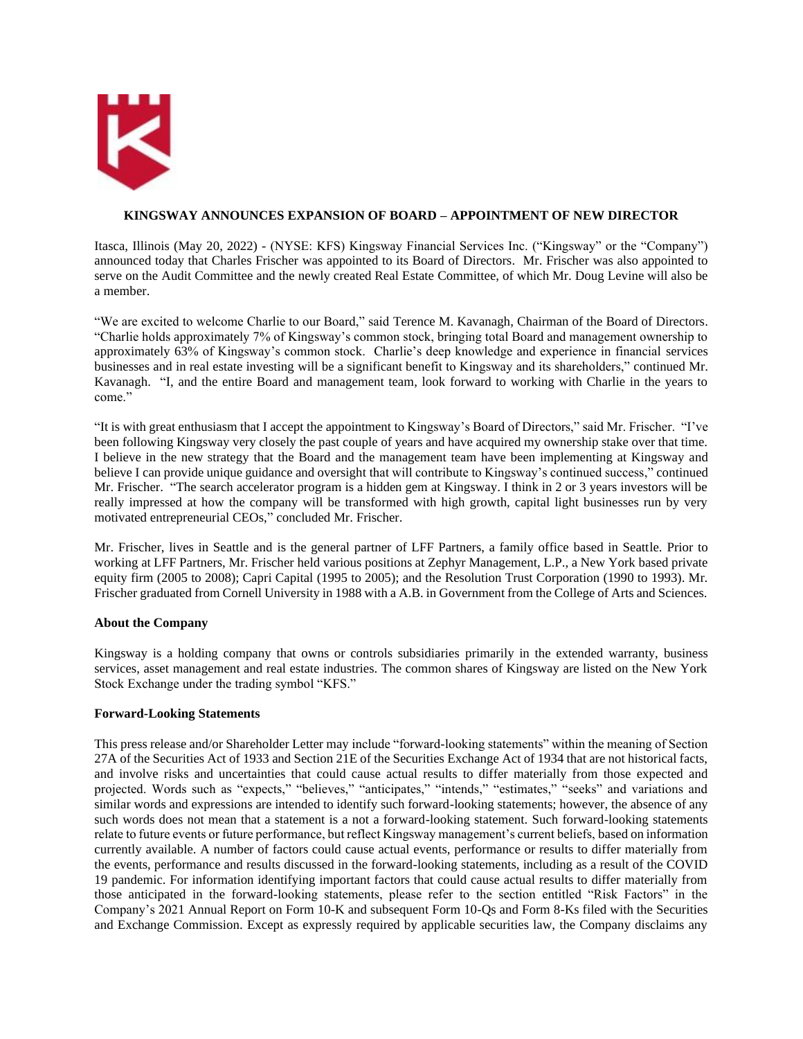

## **KINGSWAY ANNOUNCES EXPANSION OF BOARD – APPOINTMENT OF NEW DIRECTOR**

Itasca, Illinois (May 20, 2022) - (NYSE: KFS) Kingsway Financial Services Inc. ("Kingsway" or the "Company") announced today that Charles Frischer was appointed to its Board of Directors. Mr. Frischer was also appointed to serve on the Audit Committee and the newly created Real Estate Committee, of which Mr. Doug Levine will also be a member.

"We are excited to welcome Charlie to our Board," said Terence M. Kavanagh, Chairman of the Board of Directors. "Charlie holds approximately 7% of Kingsway's common stock, bringing total Board and management ownership to approximately 63% of Kingsway's common stock. Charlie's deep knowledge and experience in financial services businesses and in real estate investing will be a significant benefit to Kingsway and its shareholders," continued Mr. Kavanagh. "I, and the entire Board and management team, look forward to working with Charlie in the years to come."

"It is with great enthusiasm that I accept the appointment to Kingsway's Board of Directors," said Mr. Frischer. "I've been following Kingsway very closely the past couple of years and have acquired my ownership stake over that time. I believe in the new strategy that the Board and the management team have been implementing at Kingsway and believe I can provide unique guidance and oversight that will contribute to Kingsway's continued success," continued Mr. Frischer. "The search accelerator program is a hidden gem at Kingsway. I think in 2 or 3 years investors will be really impressed at how the company will be transformed with high growth, capital light businesses run by very motivated entrepreneurial CEOs," concluded Mr. Frischer.

Mr. Frischer, lives in Seattle and is the general partner of LFF Partners, a family office based in Seattle. Prior to working at LFF Partners, Mr. Frischer held various positions at Zephyr Management, L.P., a New York based private equity firm (2005 to 2008); Capri Capital (1995 to 2005); and the Resolution Trust Corporation (1990 to 1993). Mr. Frischer graduated from Cornell University in 1988 with a A.B. in Government from the College of Arts and Sciences.

## **About the Company**

Kingsway is a holding company that owns or controls subsidiaries primarily in the extended warranty, business services, asset management and real estate industries. The common shares of Kingsway are listed on the New York Stock Exchange under the trading symbol "KFS."

## **Forward-Looking Statements**

This press release and/or Shareholder Letter may include "forward-looking statements" within the meaning of Section 27A of the Securities Act of 1933 and Section 21E of the Securities Exchange Act of 1934 that are not historical facts, and involve risks and uncertainties that could cause actual results to differ materially from those expected and projected. Words such as "expects," "believes," "anticipates," "intends," "estimates," "seeks" and variations and similar words and expressions are intended to identify such forward-looking statements; however, the absence of any such words does not mean that a statement is a not a forward-looking statement. Such forward-looking statements relate to future events or future performance, but reflect Kingsway management's current beliefs, based on information currently available. A number of factors could cause actual events, performance or results to differ materially from the events, performance and results discussed in the forward-looking statements, including as a result of the COVID 19 pandemic. For information identifying important factors that could cause actual results to differ materially from those anticipated in the forward-looking statements, please refer to the section entitled "Risk Factors" in the Company's 2021 Annual Report on Form 10-K and subsequent Form 10-Qs and Form 8-Ks filed with the Securities and Exchange Commission. Except as expressly required by applicable securities law, the Company disclaims any